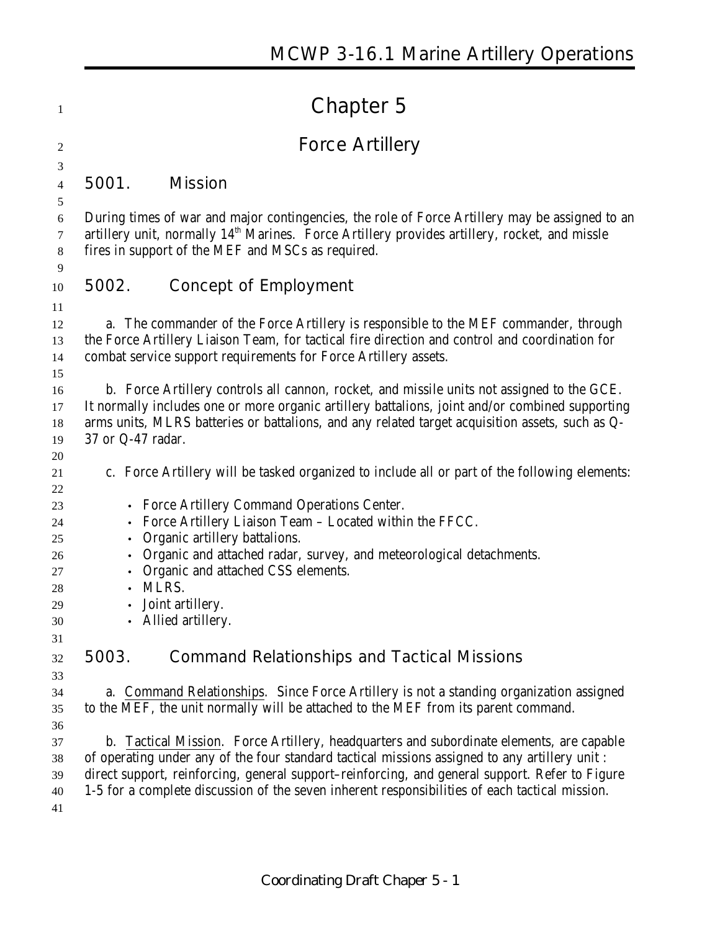# **Chapter 5**

# **Force Artillery**

**5001. Mission**

 During times of war and major contingencies, the role of Force Artillery may be assigned to an  $\sigma$  artillery unit, normally  $14<sup>th</sup>$  Marines. Force Artillery provides artillery, rocket, and missle fires in support of the MEF and MSCs as required.

#### **5002. Concept of Employment**

 a. The commander of the Force Artillery is responsible to the MEF commander, through the Force Artillery Liaison Team, for tactical fire direction and control and coordination for combat service support requirements for Force Artillery assets.

 b. Force Artillery controls all cannon, rocket, and missile units not assigned to the GCE. It normally includes one or more organic artillery battalions, joint and/or combined supporting arms units, MLRS batteries or battalions, and any related target acquisition assets, such as Q-37 or Q-47 radar.

- c. Force Artillery will be tasked organized to include all or part of the following elements:
- Force Artillery Command Operations Center.
- Force Artillery Liaison Team Located within the FFCC.
- Organic artillery battalions.
- Organic and attached radar, survey, and meteorological detachments.
- Organic and attached CSS elements.
- MLRS.
- Joint artillery.
- Allied artillery.

### **5003. Command Relationships and Tactical Missions**

 a. Command Relationships. Since Force Artillery is not a standing organization assigned to the MEF, the unit normally will be attached to the MEF from its parent command. 

 b. Tactical Mission. Force Artillery, headquarters and subordinate elements, are capable of operating under any of the four standard tactical missions assigned to any artillery unit : direct support, reinforcing, general support–reinforcing, and general support. Refer to Figure 1-5 for a complete discussion of the seven inherent responsibilities of each tactical mission.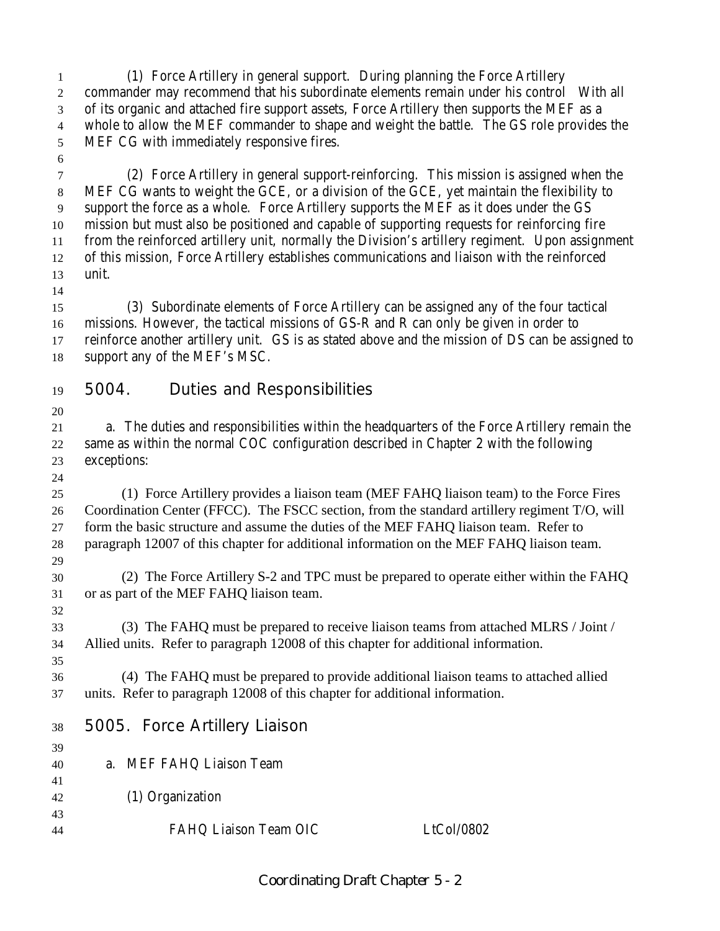(1) Force Artillery in general support. During planning the Force Artillery commander may recommend that his subordinate elements remain under his control With all of its organic and attached fire support assets, Force Artillery then supports the MEF as a whole to allow the MEF commander to shape and weight the battle. The GS role provides the MEF CG with immediately responsive fires.

 (2) Force Artillery in general support-reinforcing. This mission is assigned when the MEF CG wants to weight the GCE, or a division of the GCE, yet maintain the flexibility to support the force as a whole. Force Artillery supports the MEF as it does under the GS mission but must also be positioned and capable of supporting requests for reinforcing fire from the reinforced artillery unit, normally the Division's artillery regiment. Upon assignment of this mission, Force Artillery establishes communications and liaison with the reinforced unit.

 (3) Subordinate elements of Force Artillery can be assigned any of the four tactical missions. However, the tactical missions of GS-R and R can only be given in order to reinforce another artillery unit. GS is as stated above and the mission of DS can be assigned to support any of the MEF's MSC.

- **5004. Duties and Responsibilities**
- 

 a. The duties and responsibilities within the headquarters of the Force Artillery remain the same as within the normal COC configuration described in Chapter 2 with the following exceptions:

 (1) Force Artillery provides a liaison team (MEF FAHQ liaison team) to the Force Fires Coordination Center (FFCC). The FSCC section, from the standard artillery regiment T/O, will form the basic structure and assume the duties of the MEF FAHQ liaison team. Refer to paragraph 12007 of this chapter for additional information on the MEF FAHQ liaison team. 

 (2) The Force Artillery S-2 and TPC must be prepared to operate either within the FAHQ or as part of the MEF FAHQ liaison team. 

 (3) The FAHQ must be prepared to receive liaison teams from attached MLRS / Joint / Allied units. Refer to paragraph 12008 of this chapter for additional information.

 (4) The FAHQ must be prepared to provide additional liaison teams to attached allied units. Refer to paragraph 12008 of this chapter for additional information.

**5005. Force Artillery Liaison**

| 39 |                          |            |
|----|--------------------------|------------|
| 40 | a. MEF FAHQ Liaison Team |            |
| 41 |                          |            |
| 42 | (1) Organization         |            |
| 43 |                          |            |
| 44 | FAHQ Liaison Team OIC    | LtCol/0802 |
|    |                          |            |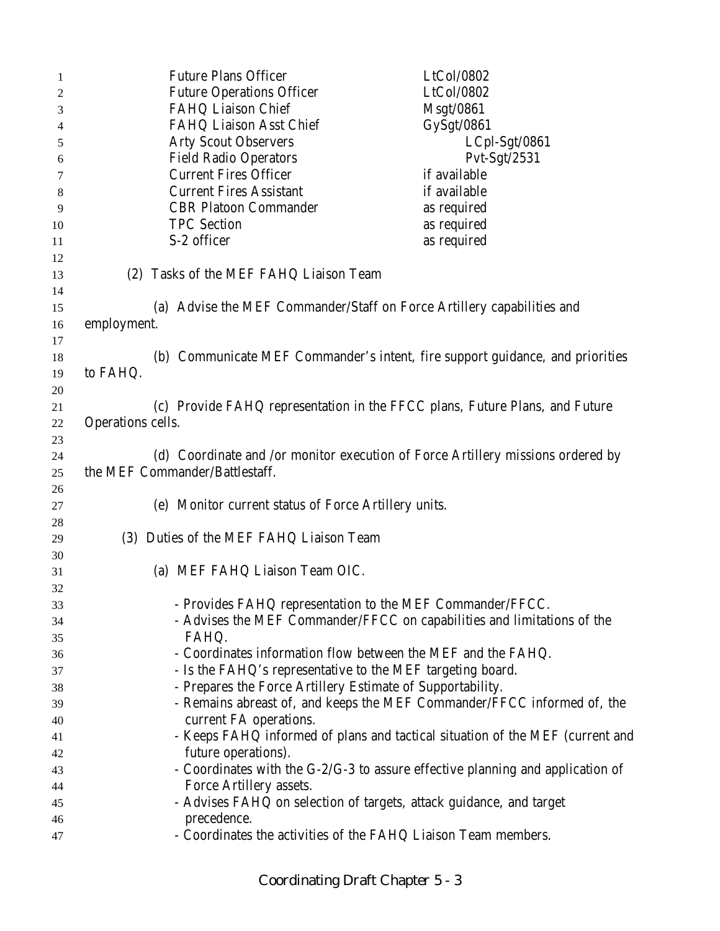| 1  |                   | <b>Future Plans Officer</b>                                | LtCol/0802                                                                      |
|----|-------------------|------------------------------------------------------------|---------------------------------------------------------------------------------|
| 2  |                   | <b>Future Operations Officer</b>                           | LtCol/0802                                                                      |
| 3  |                   | FAHQ Liaison Chief                                         | Msgt/0861                                                                       |
| 4  |                   | FAHQ Liaison Asst Chief                                    | GySgt/0861                                                                      |
| 5  |                   | <b>Arty Scout Observers</b>                                | LCpl-Sgt/0861                                                                   |
| 6  |                   | <b>Field Radio Operators</b>                               | $Pvt-Sgt/2531$                                                                  |
|    |                   | <b>Current Fires Officer</b>                               | if available                                                                    |
| 7  |                   | <b>Current Fires Assistant</b>                             | if available                                                                    |
| 8  |                   |                                                            |                                                                                 |
| 9  |                   | <b>CBR Platoon Commander</b>                               | as required                                                                     |
| 10 |                   | <b>TPC</b> Section                                         | as required                                                                     |
| 11 |                   | S-2 officer                                                | as required                                                                     |
| 12 |                   |                                                            |                                                                                 |
| 13 |                   | (2) Tasks of the MEF FAHQ Liaison Team                     |                                                                                 |
| 14 |                   |                                                            |                                                                                 |
| 15 |                   |                                                            | (a) Advise the MEF Commander/Staff on Force Artillery capabilities and          |
| 16 | employment.       |                                                            |                                                                                 |
| 17 |                   |                                                            |                                                                                 |
| 18 |                   |                                                            | (b) Communicate MEF Commander's intent, fire support guidance, and priorities   |
| 19 | to FAHQ.          |                                                            |                                                                                 |
| 20 |                   |                                                            |                                                                                 |
| 21 |                   |                                                            | (c) Provide FAHQ representation in the FFCC plans, Future Plans, and Future     |
| 22 | Operations cells. |                                                            |                                                                                 |
|    |                   |                                                            |                                                                                 |
| 23 |                   |                                                            |                                                                                 |
| 24 |                   |                                                            | (d) Coordinate and /or monitor execution of Force Artillery missions ordered by |
| 25 |                   | the MEF Commander/Battlestaff.                             |                                                                                 |
| 26 |                   |                                                            |                                                                                 |
| 27 |                   | (e) Monitor current status of Force Artillery units.       |                                                                                 |
| 28 |                   |                                                            |                                                                                 |
| 29 |                   | (3) Duties of the MEF FAHQ Liaison Team                    |                                                                                 |
| 30 |                   |                                                            |                                                                                 |
| 31 |                   | (a) MEF FAHQ Liaison Team OIC.                             |                                                                                 |
| 32 |                   |                                                            |                                                                                 |
| 33 |                   |                                                            | - Provides FAHQ representation to the MEF Commander/FFCC.                       |
| 34 |                   |                                                            | - Advises the MEF Commander/FFCC on capabilities and limitations of the         |
| 35 |                   | FAHQ.                                                      |                                                                                 |
| 36 |                   |                                                            | - Coordinates information flow between the MEF and the FAHQ.                    |
| 37 |                   | - Is the FAHQ's representative to the MEF targeting board. |                                                                                 |
| 38 |                   | - Prepares the Force Artillery Estimate of Supportability. |                                                                                 |
| 39 |                   |                                                            | - Remains abreast of, and keeps the MEF Commander/FFCC informed of, the         |
|    |                   | current FA operations.                                     |                                                                                 |
| 40 |                   |                                                            |                                                                                 |
| 41 |                   |                                                            | - Keeps FAHQ informed of plans and tactical situation of the MEF (current and   |
| 42 |                   | future operations).                                        |                                                                                 |
| 43 |                   |                                                            | - Coordinates with the G-2/G-3 to assure effective planning and application of  |
| 44 |                   | Force Artillery assets.                                    |                                                                                 |
| 45 |                   |                                                            | - Advises FAHQ on selection of targets, attack guidance, and target             |
| 46 |                   | precedence.                                                |                                                                                 |
| 47 |                   |                                                            | - Coordinates the activities of the FAHQ Liaison Team members.                  |
|    |                   |                                                            |                                                                                 |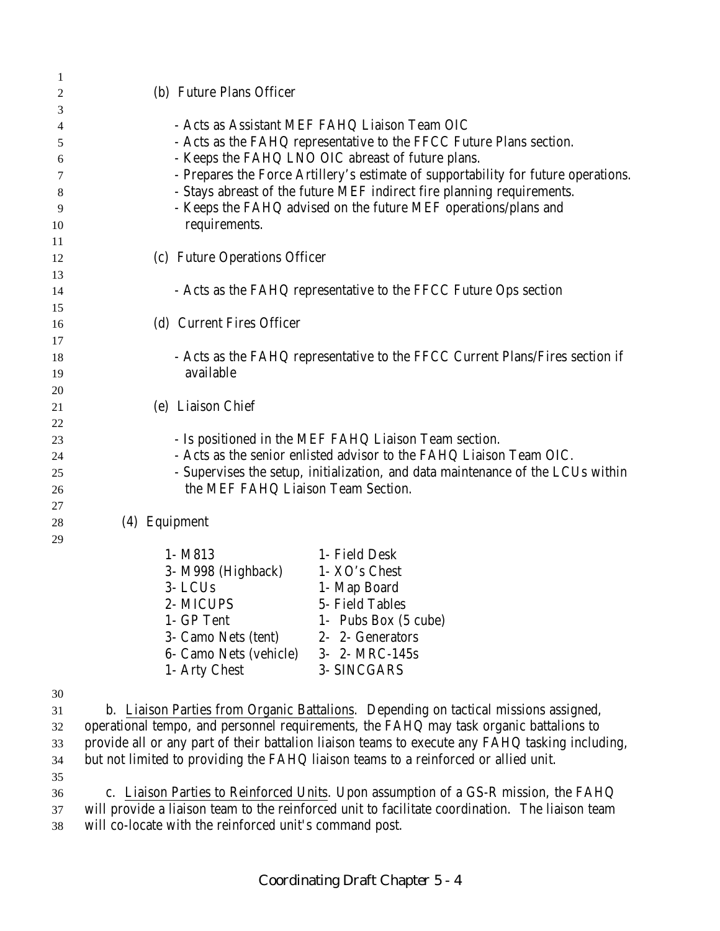| 1        |                                                                                                 |
|----------|-------------------------------------------------------------------------------------------------|
| 2        | (b) Future Plans Officer                                                                        |
| 3        |                                                                                                 |
| 4        | - Acts as Assistant MEF FAHQ Liaison Team OIC                                                   |
| 5        | - Acts as the FAHQ representative to the FFCC Future Plans section.                             |
| 6        | - Keeps the FAHQ LNO OIC abreast of future plans.                                               |
| 7        | - Prepares the Force Artillery's estimate of supportability for future operations.              |
| 8        | - Stays abreast of the future MEF indirect fire planning requirements.                          |
| 9        | - Keeps the FAHQ advised on the future MEF operations/plans and                                 |
| 10       | requirements.                                                                                   |
| 11       |                                                                                                 |
| 12       | (c) Future Operations Officer                                                                   |
| 13       |                                                                                                 |
| 14<br>15 | - Acts as the FAHQ representative to the FFCC Future Ops section                                |
| 16       | (d) Current Fires Officer                                                                       |
| 17       |                                                                                                 |
| 18       | - Acts as the FAHQ representative to the FFCC Current Plans/Fires section if                    |
| 19       | available                                                                                       |
| 20       |                                                                                                 |
| 21       | (e) Liaison Chief                                                                               |
| 22       |                                                                                                 |
| 23       | - Is positioned in the MEF FAHQ Liaison Team section.                                           |
| 24       | - Acts as the senior enlisted advisor to the FAHQ Liaison Team OIC.                             |
| 25       | - Supervises the setup, initialization, and data maintenance of the LCUs within                 |
| 26       | the MEF FAHQ Liaison Team Section.                                                              |
| 27       |                                                                                                 |
| 28       | (4) Equipment                                                                                   |
| 29       |                                                                                                 |
|          | 1- Field Desk<br>1- M813                                                                        |
|          | 1- XO's Chest<br>3- M998 (Highback)                                                             |
|          | 3-LCUs<br>1- Map Board                                                                          |
|          | 2- MICUPS<br>5- Field Tables<br>1- GP Tent<br>1- Pubs Box (5 cube)                              |
|          | 3- Camo Nets (tent)<br>2- 2- Generators                                                         |
|          | 6- Camo Nets (vehicle)<br>3- 2- MRC-145s                                                        |
|          | 1- Arty Chest<br>3- SINCGARS                                                                    |
|          |                                                                                                 |
| 30       |                                                                                                 |
| 31       | b. Liaison Parties from Organic Battalions. Depending on tactical missions assigned,            |
| 32       | operational tempo, and personnel requirements, the FAHQ may task organic battalions to          |
| 33       | provide all or any part of their battalion liaison teams to execute any FAHQ tasking including, |
| 34       | but not limited to providing the FAHQ liaison teams to a reinforced or allied unit.             |

35

36 c. Liaison Parties to Reinforced Units. Upon assumption of a GS-R mission, the FAHQ 37 will provide a liaison team to the reinforced unit to facilitate coordination. The liaison team 38 will co-locate with the reinforced unit's command post.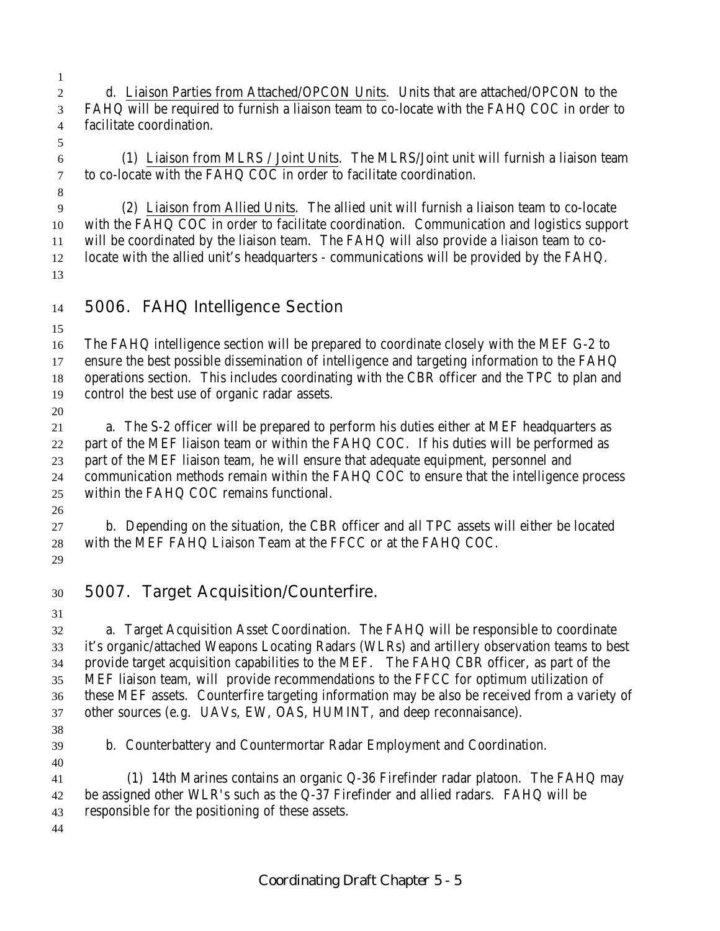- d. Liaison Parties from Attached/OPCON Units. Units that are attached/OPCON to the FAHQ will be required to furnish a liaison team to co-locate with the FAHQ COC in order to facilitate coordination.
- 

 (1) Liaison from MLRS / Joint Units. The MLRS/Joint unit will furnish a liaison team to co-locate with the FAHQ COC in order to facilitate coordination.

 (2) Liaison from Allied Units. The allied unit will furnish a liaison team to co-locate with the FAHQ COC in order to facilitate coordination. Communication and logistics support will be coordinated by the liaison team. The FAHQ will also provide a liaison team to co- locate with the allied unit's headquarters - communications will be provided by the FAHQ. 

**5006. FAHQ Intelligence Section**

 The FAHQ intelligence section will be prepared to coordinate closely with the MEF G-2 to ensure the best possible dissemination of intelligence and targeting information to the FAHQ operations section. This includes coordinating with the CBR officer and the TPC to plan and control the best use of organic radar assets.

 a. The S-2 officer will be prepared to perform his duties either at MEF headquarters as part of the MEF liaison team or within the FAHQ COC. If his duties will be performed as part of the MEF liaison team, he will ensure that adequate equipment, personnel and communication methods remain within the FAHQ COC to ensure that the intelligence process within the FAHQ COC remains functional.

 b. Depending on the situation, the CBR officer and all TPC assets will either be located with the MEF FAHQ Liaison Team at the FFCC or at the FAHQ COC.

### **5007. Target Acquisition/Counterfire.**

 a. Target Acquisition Asset Coordination. The FAHQ will be responsible to coordinate it's organic/attached Weapons Locating Radars (WLRs) and artillery observation teams to best provide target acquisition capabilities to the MEF. The FAHQ CBR officer, as part of the MEF liaison team, will provide recommendations to the FFCC for optimum utilization of these MEF assets. Counterfire targeting information may be also be received from a variety of other sources (e.g. UAVs, EW, OAS, HUMINT, and deep reconnaisance).

b. Counterbattery and Countermortar Radar Employment and Coordination.

 (1) 14th Marines contains an organic Q-36 Firefinder radar platoon. The FAHQ may be assigned other WLR's such as the Q-37 Firefinder and allied radars. FAHQ will be responsible for the positioning of these assets.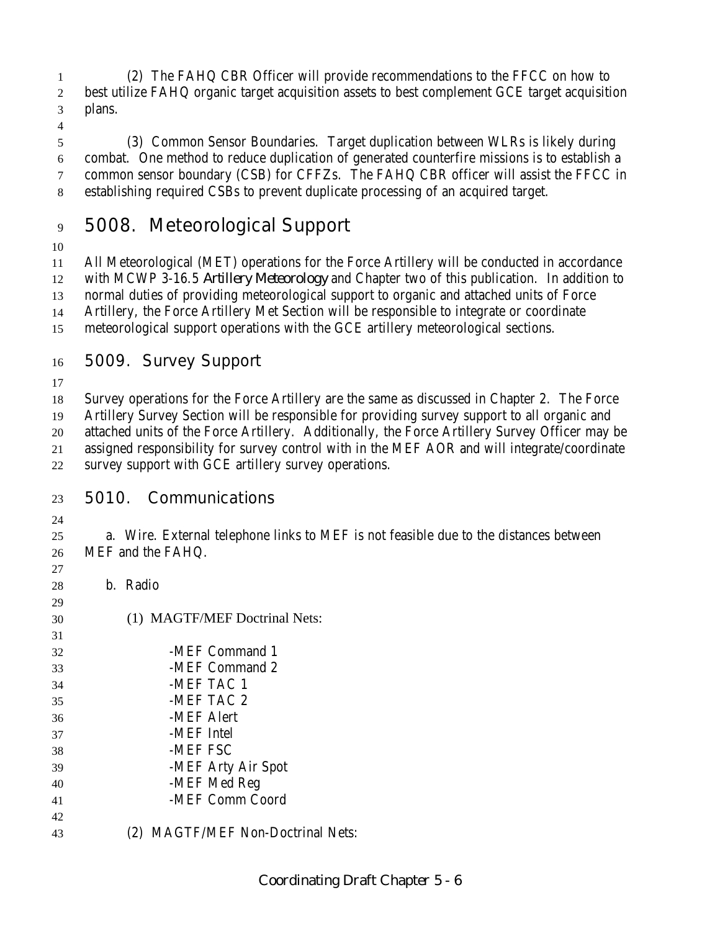(2) The FAHQ CBR Officer will provide recommendations to the FFCC on how to best utilize FAHQ organic target acquisition assets to best complement GCE target acquisition plans.

 (3) Common Sensor Boundaries. Target duplication between WLRs is likely during combat. One method to reduce duplication of generated counterfire missions is to establish a common sensor boundary (CSB) for CFFZs. The FAHQ CBR officer will assist the FFCC in establishing required CSBs to prevent duplicate processing of an acquired target.

## **5008. Meteorological Support**

 All Meteorological (MET) operations for the Force Artillery will be conducted in accordance with MCWP 3-16.5 *Artillery Meteorology* and Chapter two of this publication. In addition to normal duties of providing meteorological support to organic and attached units of Force

Artillery, the Force Artillery Met Section will be responsible to integrate or coordinate

- meteorological support operations with the GCE artillery meteorological sections.
- 

#### **5009. Survey Support**

 Survey operations for the Force Artillery are the same as discussed in Chapter 2. The Force Artillery Survey Section will be responsible for providing survey support to all organic and attached units of the Force Artillery. Additionally, the Force Artillery Survey Officer may be assigned responsibility for survey control with in the MEF AOR and will integrate/coordinate

survey support with GCE artillery survey operations.

#### **5010. Communications**

 a. Wire. External telephone links to MEF is not feasible due to the distances between MEF and the FAHQ.

- 
- b. Radio
- (1) MAGTF/MEF Doctrinal Nets: 32 -MEF Command 1 -MEF Command 2 34 -MEF TAC 1 -MEF TAC 2 -MEF Alert -MEF Intel -MEF FSC -MEF Arty Air Spot -MEF Med Reg -MEF Comm Coord (2) MAGTF/MEF Non-Doctrinal Nets: